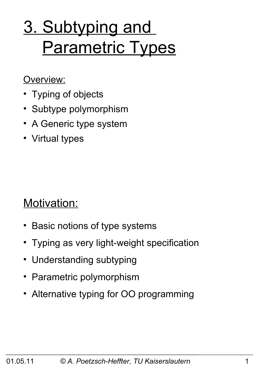# 3. Subtyping and **Parametric Types**

Overview:

- Typing of objects
- Subtype polymorphism
- A Generic type system
- Virtual types

Motivation:

- Basic notions of type systems
- Typing as very light-weight specification
- Understanding subtyping
- Parametric polymorphism
- Alternative typing for OO programming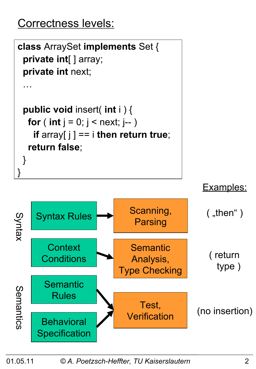## Correctness levels:

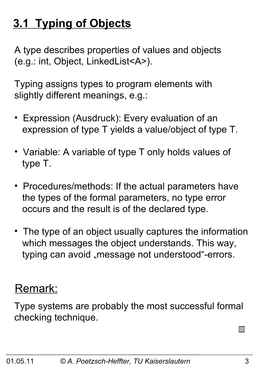# **3.1 Typing of Objects**

A type describes properties of values and objects (e.g.: int, Object, LinkedList<A>).

Typing assigns types to program elements with slightly different meanings, e.g.:

- Expression (Ausdruck): Every evaluation of an expression of type T yields a value/object of type T.
- Variable: A variable of type T only holds values of type T.
- Procedures/methods: If the actual parameters have the types of the formal parameters, no type error occurs and the result is of the declared type.
- The type of an object usually captures the information which messages the object understands. This way, typing can avoid "message not understood"-errors.

#### Remark:

Type systems are probably the most successful formal checking technique.

**Tara**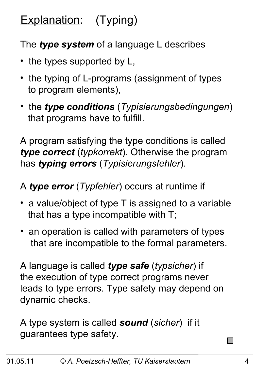# Explanation: (Typing)

#### The *type system* of a language L describes

- the types supported by L,
- the typing of L-programs (assignment of types to program elements),
- the *type conditions* (*Typisierungsbedingungen*) that programs have to fulfill.

A program satisfying the type conditions is called *type correct* (*typkorrekt*). Otherwise the program has *typing errors* (*Typisierungsfehler*).

A *type error* (*Typfehler*) occurs at runtime if

- a value/object of type T is assigned to a variable that has a type incompatible with T;
- an operation is called with parameters of types that are incompatible to the formal parameters.

A language is called *type safe* (*typsicher*) if the execution of type correct programs never leads to type errors. Type safety may depend on dynamic checks.

A type system is called *sound* (*sicher*) if it guarantees type safety.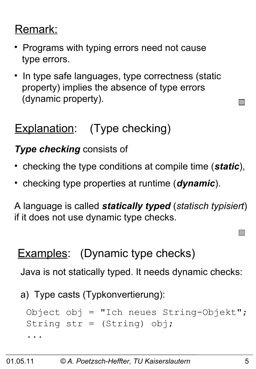# Remark:

- Programs with typing errors need not cause type errors.
- In type safe languages, type correctness (static property) implies the absence of type errors (dynamic property).

# Explanation: (Type checking)

#### *Type checking* consists of

- checking the type conditions at compile time (*static*),
- checking type properties at runtime (*dynamic*).

A language is called *statically typed* (*statisch typisiert*) if it does not use dynamic type checks.

# **Examples:** (Dynamic type checks)

Java is not statically typed. It needs dynamic checks:

a) Type casts (Typkonvertierung):

```
Object obj = "Ich neues String-Objekt";
String str = (String) obj;
...
```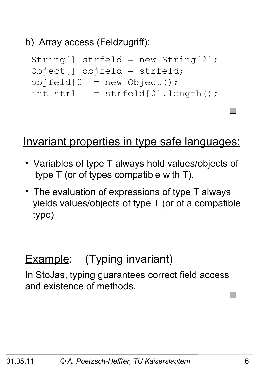#### b) Array access (Feldzugriff):

```
String[] strfeld = new String[2];
Object[] objfeld = strfeld;
objfeld[0] = new Object();
int str1 = strfeld[0].length();
```
#### Invariant properties in type safe languages:

- Variables of type T always hold values/objects of type T (or of types compatible with T).
- The evaluation of expressions of type T always yields values/objects of type T (or of a compatible type)

## **Example:** (Typing invariant)

In StoJas, typing guarantees correct field access and existence of methods.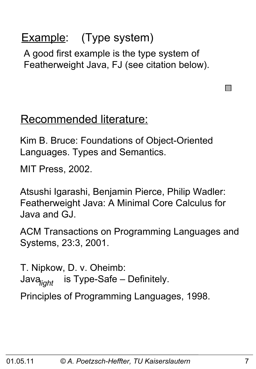# Example: (Type system)

A good first example is the type system of Featherweight Java, FJ (see citation below).

#### Recommended literature:

Kim B. Bruce: Foundations of Object-Oriented Languages. Types and Semantics.

MIT Press, 2002.

Atsushi Igarashi, Benjamin Pierce, Philip Wadler: Featherweight Java: A Minimal Core Calculus for Java and GJ.

ACM Transactions on Programming Languages and Systems, 23:3, 2001.

T. Nipkow, D. v. Oheimb: is Type-Safe – Definitely. *light*

Principles of Programming Languages, 1998.

 $\Box$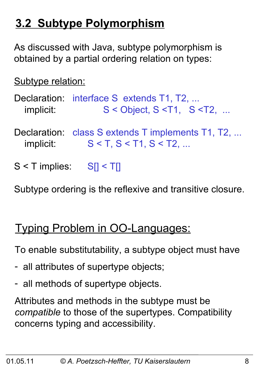# **3.2 Subtype Polymorphism**

As discussed with Java, subtype polymorphism is obtained by a partial ordering relation on types:

Subtype relation:

Declaration: interface S extends T1, T2, ... implicit:  $S <$  Object,  $S <$ T1,  $S <$ T2, ...

- Declaration: class S extends T implements T1, T2, ... implicit:  $S < T$ ,  $S < T1$ ,  $S < T2$ , ...
- $S < T$  implies:  $S_I < T_I$

Subtype ordering is the reflexive and transitive closure.

# Typing Problem in OO-Languages:

To enable substitutability, a subtype object must have

- all attributes of supertype objects;
- all methods of supertype objects.

Attributes and methods in the subtype must be *compatible* to those of the supertypes. Compatibility concerns typing and accessibility.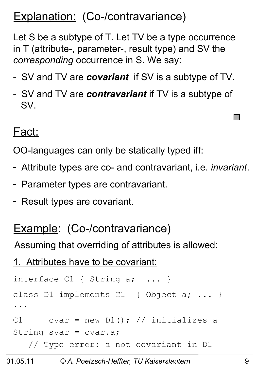# Explanation: (Co-/contravariance)

Let S be a subtype of T. Let TV be a type occurrence in T (attribute-, parameter-, result type) and SV the *corresponding* occurrence in S. We say:

- SV and TV are *covariant* if SV is a subtype of TV.
- SV and TV are *contravariant* if TV is a subtype of SV.

#### Fact:

OO-languages can only be statically typed iff:

- Attribute types are co- and contravariant, i.e. *invariant*.
- Parameter types are contravariant.
- Result types are covariant.

#### Example: (Co-/contravariance)

Assuming that overriding of attributes is allowed:

1. Attributes have to be covariant:

```
interface C1 { String a; ... }
class D1 implements C1 { Object a; ... }
...
C1 cvar = new D1(); // initializes a
String svar = cvar.a; // Type error: a not covariant in D1
```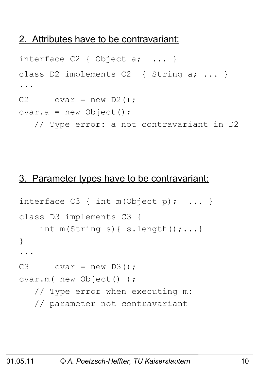#### 2. Attributes have to be contravariant:

```
interface C2 { Object a; ... }
class D2 implements C2 { String a; ... }
...
C2 cvar = new D2();
cvar.a = new Object();
    // Type error: a not contravariant in D2
```
#### 3. Parameter types have to be contravariant:

```
interface C3 \{ int m(Object p); ... \}class D3 implements C3 { 
    int m(String s) { s.length();...}
}
...
C3 cvar = new D3();
cvar.m( new Object() );
    // Type error when executing m: 
    // parameter not contravariant
```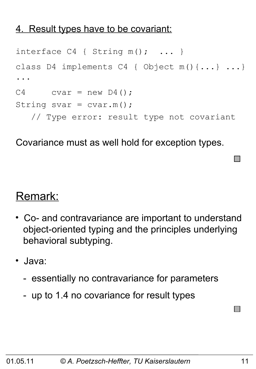#### 4. Result types have to be covariant:

```
interface C4 { String m(); ... }
class D4 implements C4 { Object m(){...} ...}
...
C4 cvar = new D4();
String svar = cvar.m();
    // Type error: result type not covariant
```
Covariance must as well hold for exception types.

#### Remark:

- Co- and contravariance are important to understand object-oriented typing and the principles underlying behavioral subtyping.
- Java:
	- essentially no contravariance for parameters
	- up to 1.4 no covariance for result types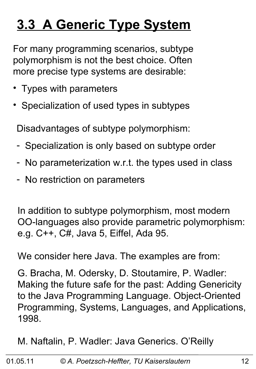# **3.3 A Generic Type System**

For many programming scenarios, subtype polymorphism is not the best choice. Often more precise type systems are desirable:

- Types with parameters
- Specialization of used types in subtypes

Disadvantages of subtype polymorphism:

- Specialization is only based on subtype order
- No parameterization w.r.t. the types used in class
- No restriction on parameters

In addition to subtype polymorphism, most modern OO-languages also provide parametric polymorphism: e.g. C++, C#, Java 5, Eiffel, Ada 95.

We consider here Java. The examples are from:

G. Bracha, M. Odersky, D. Stoutamire, P. Wadler: Making the future safe for the past: Adding Genericity to the Java Programming Language. Object-Oriented Programming, Systems, Languages, and Applications, 1998.

M. Naftalin, P. Wadler: Java Generics. O'Reilly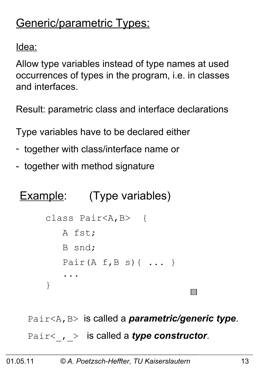# Generic/parametric Types:

Idea:

Allow type variables instead of type names at used occurrences of types in the program, i.e. in classes and interfaces.

Result: parametric class and interface declarations

Type variables have to be declared either

- together with class/interface name or
- together with method signature

# Example: (Type variables)

```
class Pair<A,B> {
    A fst;
    B snd;
   Pair(A f, B s) \{ \ldots \} ...
}
```
Pair<A,B> is called a *parametric/generic type*. Pair< , > is called a *type constructor*.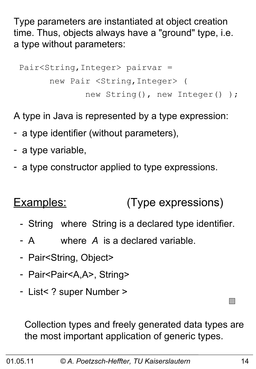Type parameters are instantiated at object creation time. Thus, objects always have a "ground" type, i.e. a type without parameters:

```
 Pair<String,Integer> pairvar = 
       new Pair <String,Integer> ( 
               new String(), new Integer() );
```
A type in Java is represented by a type expression:

- a type identifier (without parameters),
- a type variable,
- a type constructor applied to type expressions.

#### Examples: (Type expressions)

- String where String is a declared type identifier.
- A where *A* is a declared variable.
- Pair<String, Object>
- Pair<Pair<A,A>, String>
- List< ? super Number >

Collection types and freely generated data types are the most important application of generic types.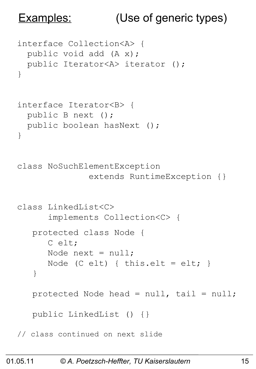# Examples: (Use of generic types)

```
interface Collection<A> {
  public void add (A x);
   public Iterator<A> iterator ();
}
interface Iterator<B> {
   public B next ();
   public boolean hasNext ();
}
class NoSuchElementException 
                extends RuntimeException {}
class LinkedList<C> 
       implements Collection<C> {
    protected class Node {
       C elt;
      Node next = null;
      Node (C elt) { this.elt = elt; }
    }
   protected Node head = null, tail = null; public LinkedList () {}
// class continued on next slide
```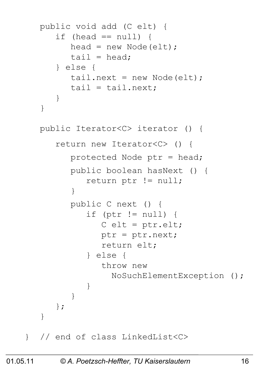```
 public void add (C elt) {
      if (head == null) {
         head = new Node(elt);
         tail = head; } else {
         tail.next = new Node(elt);
         tail = tail.next; }
    } 
   public Iterator<C> iterator () {
       return new Iterator<C> () {
          protected Node ptr = head;
          public boolean hasNext () {
             return ptr != null;
 }
          public C next () {
             if (ptr != null) {
               C elt = ptr.elt;
                ptr = ptr.next;
                return elt;
             } else {
                throw new
```

```
 NoSuchElementException ();
 }
```

```
} // end of class LinkedList<C>
```
}

}

};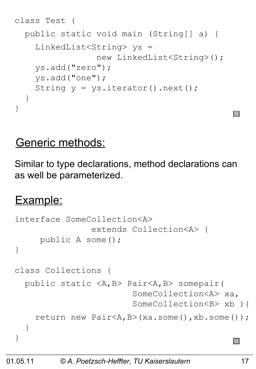```
class Test {
   public static void main (String[] a) {
     LinkedList<String> ys = 
                  new LinkedList<String>();
     ys.add("zero"); 
     ys.add("one");
    String y = ys.iterator() .next();
   }
}
```
#### Generic methods:

Similar to type declarations, method declarations can as well be parameterized.

#### Example:

```
interface SomeCollection<A> 
                 extends Collection<A> {
      public A some();
}
class Collections {
   public static <A,B> Pair<A,B> somepair( 
                          SomeCollection<A> xa,
                         SomeCollection<B> xb ){
     return new Pair<A,B>(xa.some(),xb.some());
   }
}
```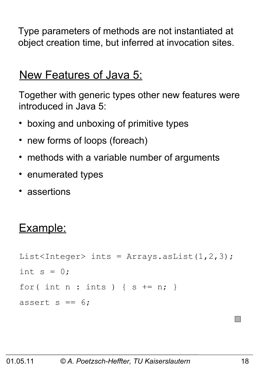Type parameters of methods are not instantiated at object creation time, but inferred at invocation sites.

#### New Features of Java 5:

Together with generic types other new features were introduced in Java 5:

- boxing and unboxing of primitive types
- new forms of loops (foreach)
- methods with a variable number of arguments
- enumerated types
- assertions

## Example:

```
List<Integer> ints = Arrays.aslist(1,2,3);int s = 0;
for( int n : ints ) { s += n; }
assert s == 6;
```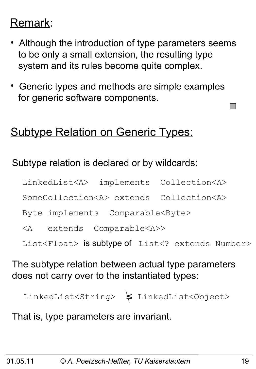# Remark:

- Although the introduction of type parameters seems to be only a small extension, the resulting type system and its rules become quite complex.
- Generic types and methods are simple examples for generic software components.

#### Subtype Relation on Generic Types:

#### Subtype relation is declared or by wildcards:

LinkedList<A> implements Collection<A>

SomeCollection<A> extends Collection<A>

Byte implements Comparable<Byte>

<A extends Comparable<A>>

List<Float> is subtype of List<? extends Number>

#### The subtype relation between actual type parameters does not carry over to the instantiated types:

LinkedList<String> ≤ LinkedList<Object>

That is, type parameters are invariant.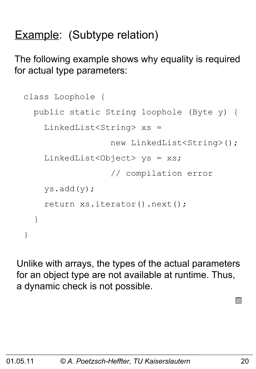# **Example:** (Subtype relation)

The following example shows why equality is required for actual type parameters:

```
class Loophole {
   public static String loophole (Byte y) {
     LinkedList<String> xs =
                   new LinkedList<String>();
    LinkedList<Object> ys = xs;
                   // compilation error
     ys.add(y);
     return xs.iterator().next();
   }
}
```
Unlike with arrays, the types of the actual parameters for an object type are not available at runtime. Thus, a dynamic check is not possible.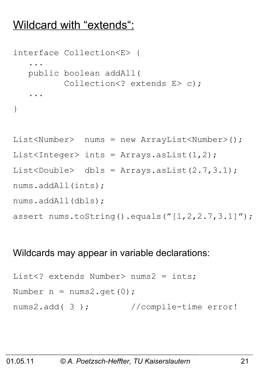#### Wildcard with "extends":

```
interface Collection<E> {
 ...
    public boolean addAll(
           Collection<? extends E> c);
 ...
}
```

```
List<Number> nums = new ArrayList<Number>();
List<Integer> ints = Arrays.asList(1,2);
List<Double> dbls = Arrays.asList(2.7,3.1);
nums.addAll(ints);
nums.addAll(dbls);
assert nums.toString().equals("[1,2,2.7,3.1]");
```
#### Wildcards may appear in variable declarations:

```
List<? extends Number> nums2 = ints;
Number n = nums2.get(0);nums2.add( 3 ); //compile-time error!
```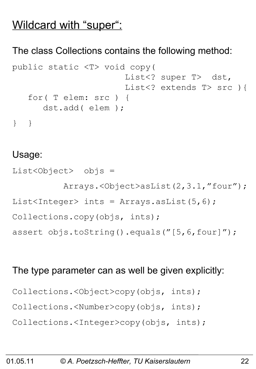#### Wildcard with "super":

#### The class Collections contains the following method:

```
public static <T> void copy(
                       List<? super T> dst,
                       List<? extends T> src ) {
    for( T elem: src ) {
       dst.add( elem );
} }
```
#### Usage:

List<Object> objs = Arrays.<Object>asList(2,3.1,"four"); List<Integer> ints = Arrays.asList(5,6); Collections.copy(objs, ints); assert objs.toString().equals("[5,6,four]");

#### The type parameter can as well be given explicitly:

Collections.<Object>copy(objs, ints);

Collections.<Number>copy(objs, ints);

Collections.<Integer>copy(objs, ints);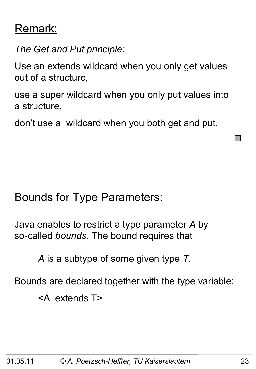#### Remark:

*The Get and Put principle:*

Use an extends wildcard when you only get values out of a structure,

use a super wildcard when you only put values into a structure,

don't use a wildcard when you both get and put.

#### Bounds for Type Parameters:

Java enables to restrict a type parameter *A* by so-called *bounds*. The bound requires that

*A* is a subtype of some given type *T*.

Bounds are declared together with the type variable:

<A extends T>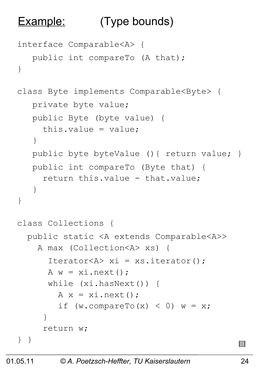# Example: (Type bounds)

```
interface Comparable<A> {
    public int compareTo (A that);
}
class Byte implements Comparable<Byte> {
    private byte value;
    public Byte (byte value) { 
      this.value = value;
    }
   public byte byteValue () { return value; }
    public int compareTo (Byte that) {
      return this.value - that.value;
    }
}
class Collections {
   public static <A extends Comparable<A>>
     A max (Collection<A> xs) {
       Iterator<A> xi = xs.iterator();
      A w = x i.next() while (xi.hasNext()) {
        A x = x i.next();
        if (w.\text{compareTo}(x) < 0) w = x; }
      return w;
} }
```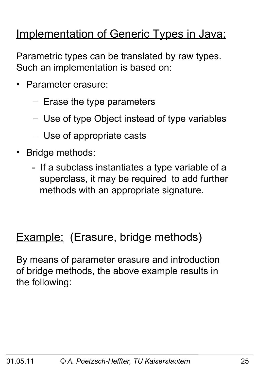# **Implementation of Generic Types in Java:**

Parametric types can be translated by raw types. Such an implementation is based on:

- Parameter erasure:
	- Erase the type parameters
	- Use of type Object instead of type variables
	- Use of appropriate casts
- Bridge methods:
	- If a subclass instantiates a type variable of a superclass, it may be required to add further methods with an appropriate signature.

## **Example:** (Erasure, bridge methods)

By means of parameter erasure and introduction of bridge methods, the above example results in the following: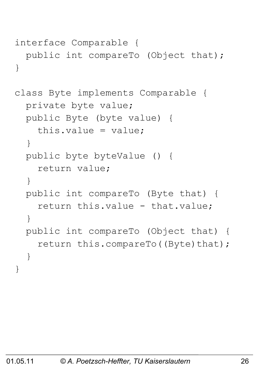```
interface Comparable {
   public int compareTo (Object that);
}
```

```
class Byte implements Comparable {
   private byte value;
   public Byte (byte value) { 
     this.value = value;
   }
   public byte byteValue () { 
     return value;
   }
   public int compareTo (Byte that) {
    return this.value - that.value;
   }
   public int compareTo (Object that) {
    return this.compareTo((Byte)that);
   }
}
```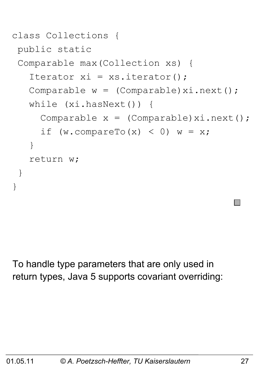```
class Collections {
public static 
 Comparable max(Collection xs) {
   Iterator xi = xs.iterator();
   Comparable w = (Compact)xi.next();
    while (xi.hasNext()) {
     Comparable x = (Compact)xi.next();
     if (w.\text{compareTo}(x) < 0) w = x; }
    return w;
 }
}
```
To handle type parameters that are only used in return types, Java 5 supports covariant overriding: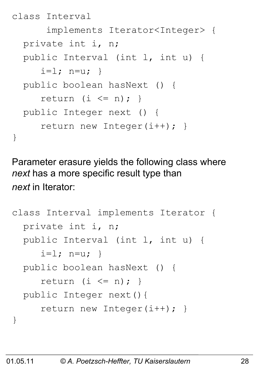```
class Interval 
       implements Iterator<Integer> {
   private int i, n;
   public Interval (int l, int u) {
     i=1; n=u; public boolean hasNext () { 
     return (i \leq n); public Integer next () { 
      return new Integer(i++); }
}
```
Parameter erasure yields the following class where *next* has a more specific result type than *next* in Iterator:

```
class Interval implements Iterator {
   private int i, n;
   public Interval (int l, int u) {
     i=1; n=u; public boolean hasNext () {
     return (i \leq n); public Integer next(){
      return new Integer(i++); }
}
```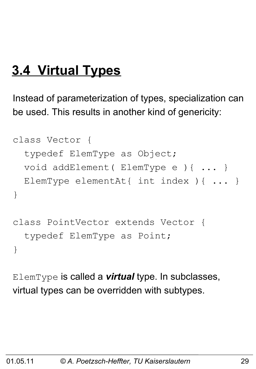# **3.4 Virtual Types**

Instead of parameterization of types, specialization can be used. This results in another kind of genericity:

```
class Vector {
   typedef ElemType as Object;
   void addElement( ElemType e ){ ... }
  ElemType elementAt{ int index ){ ... }
}
class PointVector extends Vector {
   typedef ElemType as Point;
}
```
ElemType is called a *virtual* type. In subclasses, virtual types can be overridden with subtypes.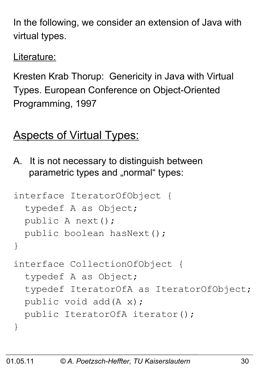In the following, we consider an extension of Java with virtual types.

Literature:

Kresten Krab Thorup: Genericity in Java with Virtual Types. European Conference on Object-Oriented Programming, 1997

# **Aspects of Virtual Types:**

A. It is not necessary to distinguish between parametric types and "normal" types:

```
interface IteratorOfObject {
   typedef A as Object;
   public A next();
  public boolean hasNext();
}
interface CollectionOfObject {
   typedef A as Object;
   typedef IteratorOfA as IteratorOfObject;
  public void add(A x);
  public IteratorOfA iterator();
}
```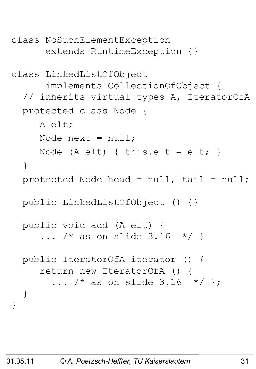```
class NoSuchElementException 
       extends RuntimeException {}
class LinkedListOfObject 
       implements CollectionOfObject {
   // inherits virtual types A, IteratorOfA
   protected class Node {
      A elt;
     Node next = null;Node (A elt) { this.elt = elt; }
   }
   protected Node head = null, tail = null;
   public LinkedListOfObject () {}
   public void add (A elt) {
     ... /* as on slide 3.16 */ }
   public IteratorOfA iterator () {
      return new IteratorOfA () {
       ... /* as on slide 3.16 */ };
   }
}
```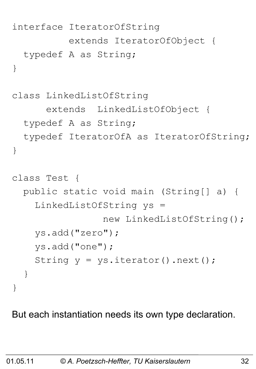```
interface IteratorOfString 
           extends IteratorOfObject {
   typedef A as String;
}
class LinkedListOfString 
       extends LinkedListOfObject {
   typedef A as String;
   typedef IteratorOfA as IteratorOfString;
}
class Test {
   public static void main (String[] a) {
     LinkedListOfString ys = 
                  new LinkedListOfString();
     ys.add("zero"); 
     ys.add("one");
    String y = ys.iterator() .next();
   }
}
```
But each instantiation needs its own type declaration.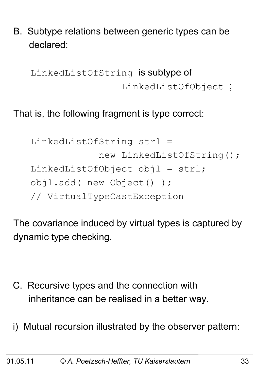B. Subtype relations between generic types can be declared:

 LinkedListOfString is subtype of LinkedListOfObject ;

#### That is, the following fragment is type correct:

```
 LinkedListOfString strl = 
             new LinkedListOfString();
LinkedListOfObject obj1 = str1; objl.add( new Object() ); 
 // VirtualTypeCastException
```
The covariance induced by virtual types is captured by dynamic type checking.

- C. Recursive types and the connection with inheritance can be realised in a better way.
- i) Mutual recursion illustrated by the observer pattern: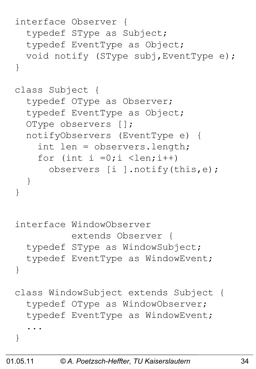```
interface Observer {
   typedef SType as Subject;
   typedef EventType as Object;
   void notify (SType subj,EventType e);
}
class Subject {
   typedef OType as Observer;
   typedef EventType as Object;
   OType observers [];
   notifyObservers (EventType e) {
     int len = observers.length;
    for (int i =0;i <len;i++)
       observers [i ].notify(this,e);
   }
}
interface WindowObserver 
           extends Observer {
   typedef SType as WindowSubject;
   typedef EventType as WindowEvent;
}
class WindowSubject extends Subject {
   typedef OType as WindowObserver;
   typedef EventType as WindowEvent;
 ...
}
```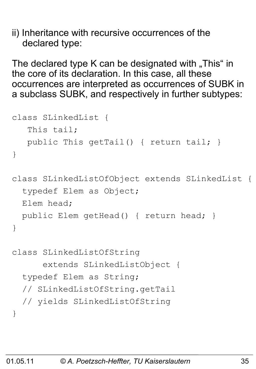ii) Inheritance with recursive occurrences of the declared type:

The declared type K can be designated with  $\sqrt{n}$ This" in the core of its declaration. In this case, all these occurrences are interpreted as occurrences of SUBK in a subclass SUBK, and respectively in further subtypes:

```
class SLinkedList {
    This tail;
    public This getTail() { return tail; }
}
class SLinkedListOfObject extends SLinkedList {
   typedef Elem as Object;
```

```
 Elem head;
 public Elem getHead() { return head; }
```
}

```
class SLinkedListOfString 
       extends SLinkedListObject {
   typedef Elem as String;
   // SLinkedListOfString.getTail 
   // yields SLinkedListOfString
}
```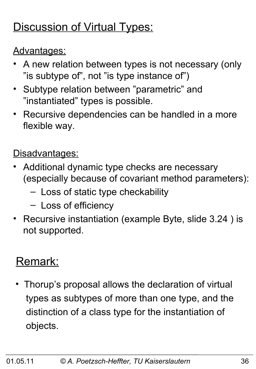# Discussion of Virtual Types:

#### Advantages:

- A new relation between types is not necessary (only "is subtype of", not "is type instance of")
- Subtype relation between "parametric" and "instantiated" types is possible.
- Recursive dependencies can be handled in a more flexible way.

#### Disadvantages:

- Additional dynamic type checks are necessary (especially because of covariant method parameters):
	- Loss of static type checkability
	- Loss of efficiency
- Recursive instantiation (example Byte, slide 3.24 ) is not supported.

## Remark:

• Thorup's proposal allows the declaration of virtual types as subtypes of more than one type, and the distinction of a class type for the instantiation of objects.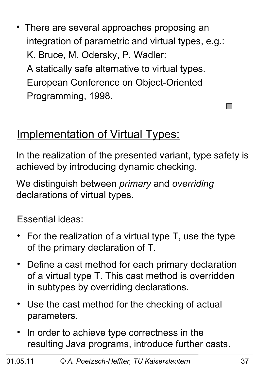• There are several approaches proposing an integration of parametric and virtual types, e.g.: K. Bruce, M. Odersky, P. Wadler: A statically safe alternative to virtual types. European Conference on Object-Oriented Programming, 1998.

# **Implementation of Virtual Types:**

In the realization of the presented variant, type safety is achieved by introducing dynamic checking.

We distinguish between *primary* and *overriding* declarations of virtual types.

#### Essential ideas:

- For the realization of a virtual type T, use the type of the primary declaration of T.
- Define a cast method for each primary declaration of a virtual type T. This cast method is overridden in subtypes by overriding declarations.
- Use the cast method for the checking of actual parameters.
- In order to achieve type correctness in the resulting Java programs, introduce further casts.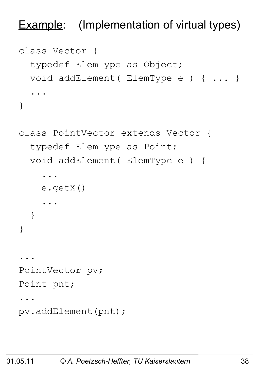**Example:** (Implementation of virtual types)

```
class Vector {
   typedef ElemType as Object;
   void addElement( ElemType e ) { ... }
 ...
}
```

```
class PointVector extends Vector {
   typedef ElemType as Point;
   void addElement( ElemType e ) { 
 ...
     e.getX()
 ...
   }
}
...
PointVector pv;
Point pnt;
...
pv.addElement(pnt);
```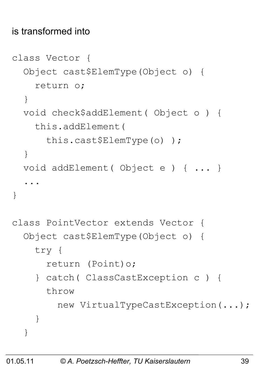#### is transformed into

```
class Vector {
   Object cast$ElemType(Object o) { 
     return o; 
   }
   void check$addElement( Object o ) {
     this.addElement( 
       this.cast$ElemType(o) );
   }
   void addElement( Object e ) { ... }
 ...
}
class PointVector extends Vector {
   Object cast$ElemType(Object o) { 
     try { 
       return (Point)o;
     } catch( ClassCastException c ) {
       throw 
         new VirtualTypeCastException(...);
     }
   }
```